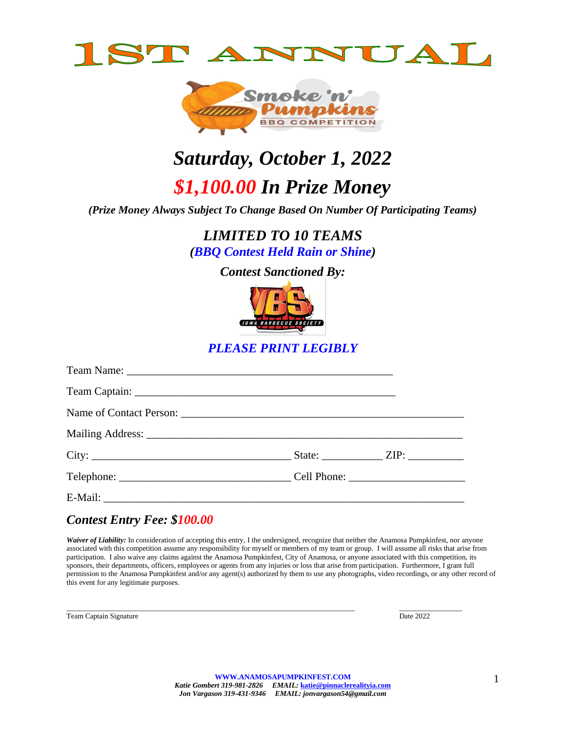



# *Saturday, October 1, 2022 \$1,100.00 In Prize Money*

*(Prize Money Always Subject To Change Based On Number Of Participating Teams)*

*LIMITED TO 10 TEAMS (BBQ Contest Held Rain or Shine)*

*Contest Sanctioned By:*



*PLEASE PRINT LEGIBLY*

# *Contest Entry Fee: \$100.00*

Waiver of Liability: In consideration of accepting this entry, I the undersigned, recognize that neither the Anamosa Pumpkinfest, nor anyone associated with this competition assume any responsibility for myself or members of my team or group. I will assume all risks that arise from participation. I also waive any claims against the Anamosa Pumpkinfest, City of Anamosa, or anyone associated with this competition, its sponsors, their departments, officers, employees or agents from any injuries or loss that arise from participation. Furthermore, I grant full permission to the Anamosa Pumpkinfest and/or any agent(s) authorized by them to use any photographs, video recordings, or any other record of this event for any legitimate purposes.

Team Captain Signature Date 2022

 $\_$  , and the state of the state of the state of the state of the state of the state of the state of the state of the state of the state of the state of the state of the state of the state of the state of the state of the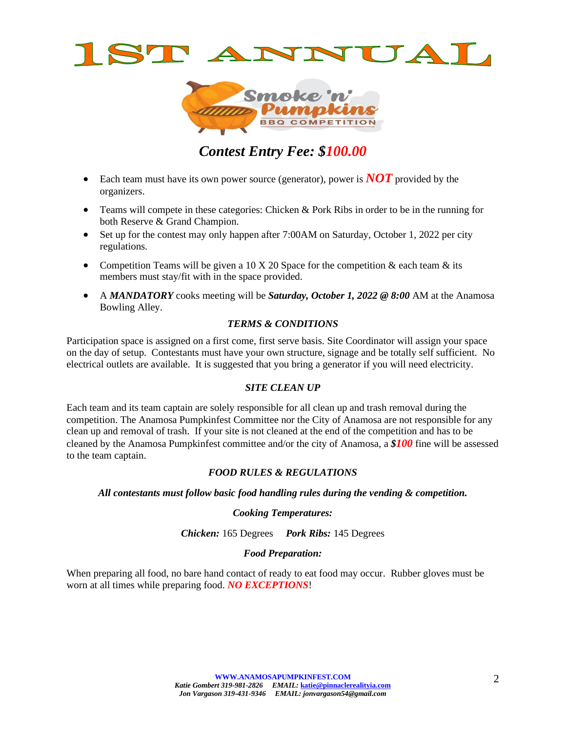



# *Contest Entry Fee: \$100.00*

- Each team must have its own power source (generator), power is **NOT** provided by the organizers.
- Teams will compete in these categories: Chicken & Pork Ribs in order to be in the running for both Reserve & Grand Champion.
- Set up for the contest may only happen after 7:00AM on Saturday, October 1, 2022 per city regulations.
- Competition Teams will be given a 10 X 20 Space for the competition  $\&$  each team  $\&$  its members must stay/fit with in the space provided.
- A *MANDATORY* cooks meeting will be *Saturday, October 1, 2022 @ 8:00* AM at the Anamosa Bowling Alley.

# *TERMS & CONDITIONS*

Participation space is assigned on a first come, first serve basis. Site Coordinator will assign your space on the day of setup. Contestants must have your own structure, signage and be totally self sufficient. No electrical outlets are available. It is suggested that you bring a generator if you will need electricity.

# *SITE CLEAN UP*

Each team and its team captain are solely responsible for all clean up and trash removal during the competition. The Anamosa Pumpkinfest Committee nor the City of Anamosa are not responsible for any clean up and removal of trash. If your site is not cleaned at the end of the competition and has to be cleaned by the Anamosa Pumpkinfest committee and/or the city of Anamosa, a *\$100* fine will be assessed to the team captain.

# *FOOD RULES & REGULATIONS*

### *All contestants must follow basic food handling rules during the vending & competition.*

# *Cooking Temperatures:*

*Chicken:* 165 Degrees *Pork Ribs:* 145 Degrees

# *Food Preparation:*

When preparing all food, no bare hand contact of ready to eat food may occur. Rubber gloves must be worn at all times while preparing food. *NO EXCEPTIONS*!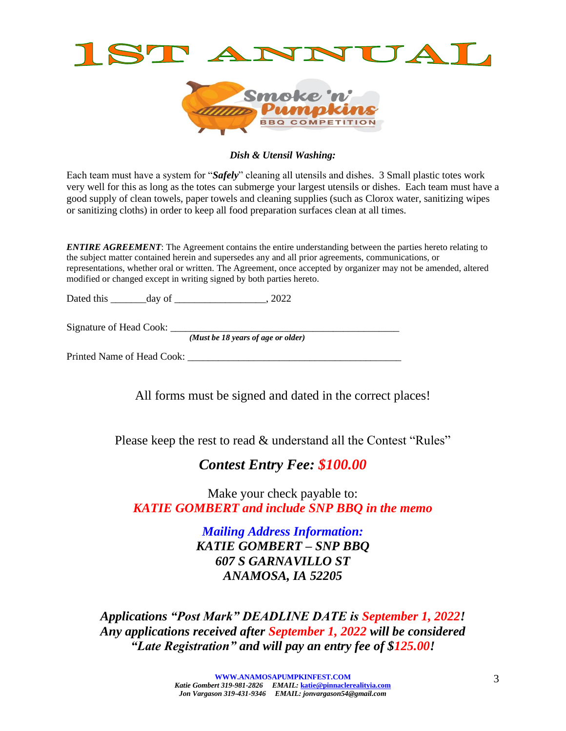



### *Dish & Utensil Washing:*

Each team must have a system for "*Safely*" cleaning all utensils and dishes. 3 Small plastic totes work very well for this as long as the totes can submerge your largest utensils or dishes. Each team must have a good supply of clean towels, paper towels and cleaning supplies (such as Clorox water, sanitizing wipes or sanitizing cloths) in order to keep all food preparation surfaces clean at all times.

*ENTIRE AGREEMENT*: The Agreement contains the entire understanding between the parties hereto relating to the subject matter contained herein and supersedes any and all prior agreements, communications, or representations, whether oral or written. The Agreement, once accepted by organizer may not be amended, altered modified or changed except in writing signed by both parties hereto.

Dated this \_\_\_\_\_\_\_day of \_\_\_\_\_\_\_\_\_\_\_\_\_\_\_\_\_\_, 2022

Signature of Head Cook: \_\_\_\_\_\_\_\_\_\_\_\_\_\_\_\_\_\_\_\_\_\_\_\_\_\_\_\_\_\_\_\_\_\_\_\_\_\_\_\_\_\_\_\_\_

*(Must be 18 years of age or older)*

Printed Name of Head Cook:

All forms must be signed and dated in the correct places!

Please keep the rest to read & understand all the Contest "Rules"

# *Contest Entry Fee: \$100.00*

Make your check payable to: *KATIE GOMBERT and include SNP BBQ in the memo*

> *Mailing Address Information: KATIE GOMBERT – SNP BBQ 607 S GARNAVILLO ST ANAMOSA, IA 52205*

*Applications "Post Mark" DEADLINE DATE is September 1, 2022! Any applications received after September 1, 2022 will be considered "Late Registration" and will pay an entry fee of \$125.00!*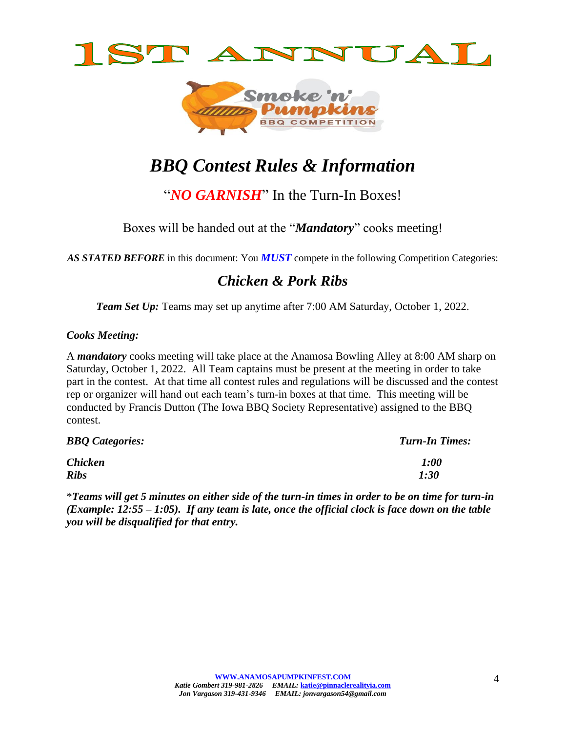



# *BBQ Contest Rules & Information*

"*NO GARNISH*" In the Turn-In Boxes!

Boxes will be handed out at the "*Mandatory*" cooks meeting!

AS STATED BEFORE in this document: You **MUST** compete in the following Competition Categories:

# *Chicken & Pork Ribs*

*Team Set Up:* Teams may set up anytime after 7:00 AM Saturday, October 1, 2022.

# *Cooks Meeting:*

A *mandatory* cooks meeting will take place at the Anamosa Bowling Alley at 8:00 AM sharp on Saturday, October 1, 2022. All Team captains must be present at the meeting in order to take part in the contest. At that time all contest rules and regulations will be discussed and the contest rep or organizer will hand out each team's turn-in boxes at that time. This meeting will be conducted by Francis Dutton (The Iowa BBQ Society Representative) assigned to the BBQ contest.

| <b>BBQ</b> Categories: | <b>Turn-In Times:</b> |
|------------------------|-----------------------|
| <b>Chicken</b>         | 1:00                  |
| <b>Ribs</b>            | 1:30                  |

\**Teams will get 5 minutes on either side of the turn-in times in order to be on time for turn-in (Example: 12:55 – 1:05). If any team is late, once the official clock is face down on the table you will be disqualified for that entry.*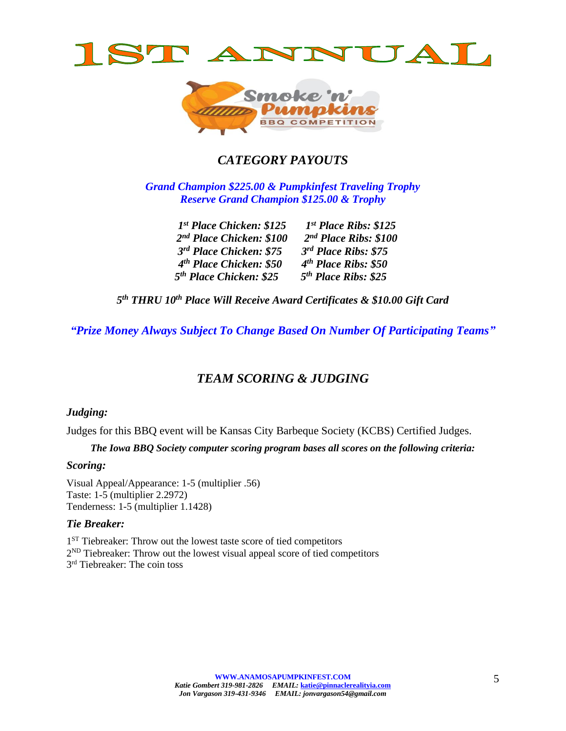



# *CATEGORY PAYOUTS*

*Grand Champion \$225.00 & Pumpkinfest Traveling Trophy Reserve Grand Champion \$125.00 & Trophy*

| 1 <sup>st</sup> Place Chicken: \$125 | $1^{st}$ Place Ribs: \$125       |
|--------------------------------------|----------------------------------|
| 2 <sup>nd</sup> Place Chicken: \$100 | $2nd$ Place Ribs: \$100          |
| 3rd Place Chicken: \$75              | $3rd$ Place Ribs: \$75           |
| 4 <sup>th</sup> Place Chicken: \$50  | 4 <sup>th</sup> Place Ribs: \$50 |
| 5 <sup>th</sup> Place Chicken: \$25  | 5 <sup>th</sup> Place Ribs: \$25 |

*5 th THRU 10th Place Will Receive Award Certificates & \$10.00 Gift Card*

*"Prize Money Always Subject To Change Based On Number Of Participating Teams"*

# *TEAM SCORING & JUDGING*

# *Judging:*

Judges for this BBQ event will be Kansas City Barbeque Society (KCBS) Certified Judges.

*The Iowa BBQ Society computer scoring program bases all scores on the following criteria:*

# *Scoring:*

Visual Appeal/Appearance: 1-5 (multiplier .56) Taste: 1-5 (multiplier 2.2972) Tenderness: 1-5 (multiplier 1.1428)

# *Tie Breaker:*

1<sup>ST</sup> Tiebreaker: Throw out the lowest taste score of tied competitors  $2^{ND}$  Tiebreaker: Throw out the lowest visual appeal score of tied competitors 3<sup>rd</sup> Tiebreaker: The coin toss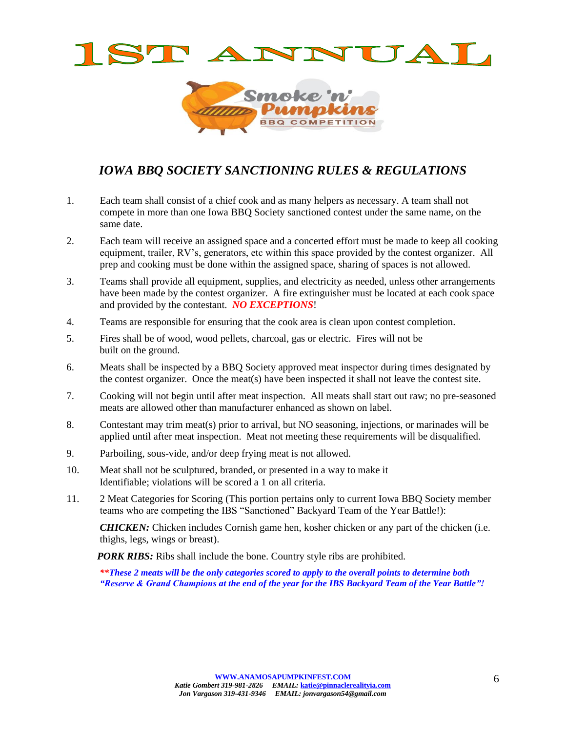



# *IOWA BBQ SOCIETY SANCTIONING RULES & REGULATIONS*

- 1. Each team shall consist of a chief cook and as many helpers as necessary. A team shall not compete in more than one Iowa BBQ Society sanctioned contest under the same name, on the same date.
- 2. Each team will receive an assigned space and a concerted effort must be made to keep all cooking equipment, trailer, RV's, generators, etc within this space provided by the contest organizer. All prep and cooking must be done within the assigned space, sharing of spaces is not allowed.
- 3. Teams shall provide all equipment, supplies, and electricity as needed, unless other arrangements have been made by the contest organizer. A fire extinguisher must be located at each cook space and provided by the contestant. *NO EXCEPTIONS*!
- 4. Teams are responsible for ensuring that the cook area is clean upon contest completion.
- 5. Fires shall be of wood, wood pellets, charcoal, gas or electric. Fires will not be built on the ground.
- 6. Meats shall be inspected by a BBQ Society approved meat inspector during times designated by the contest organizer. Once the meat(s) have been inspected it shall not leave the contest site.
- 7. Cooking will not begin until after meat inspection. All meats shall start out raw; no pre-seasoned meats are allowed other than manufacturer enhanced as shown on label.
- 8. Contestant may trim meat(s) prior to arrival, but NO seasoning, injections, or marinades will be applied until after meat inspection. Meat not meeting these requirements will be disqualified.
- 9. Parboiling, sous-vide, and/or deep frying meat is not allowed.
- 10. Meat shall not be sculptured, branded, or presented in a way to make it Identifiable; violations will be scored a 1 on all criteria.
- 11. 2 Meat Categories for Scoring (This portion pertains only to current Iowa BBQ Society member teams who are competing the IBS "Sanctioned" Backyard Team of the Year Battle!):

**CHICKEN:** Chicken includes Cornish game hen, kosher chicken or any part of the chicken (i.e. thighs, legs, wings or breast).

*PORK RIBS:* Ribs shall include the bone. Country style ribs are prohibited.

*\*\*These 2 meats will be the only categories scored to apply to the overall points to determine both "Reserve & Grand Champions at the end of the year for the IBS Backyard Team of the Year Battle"!*